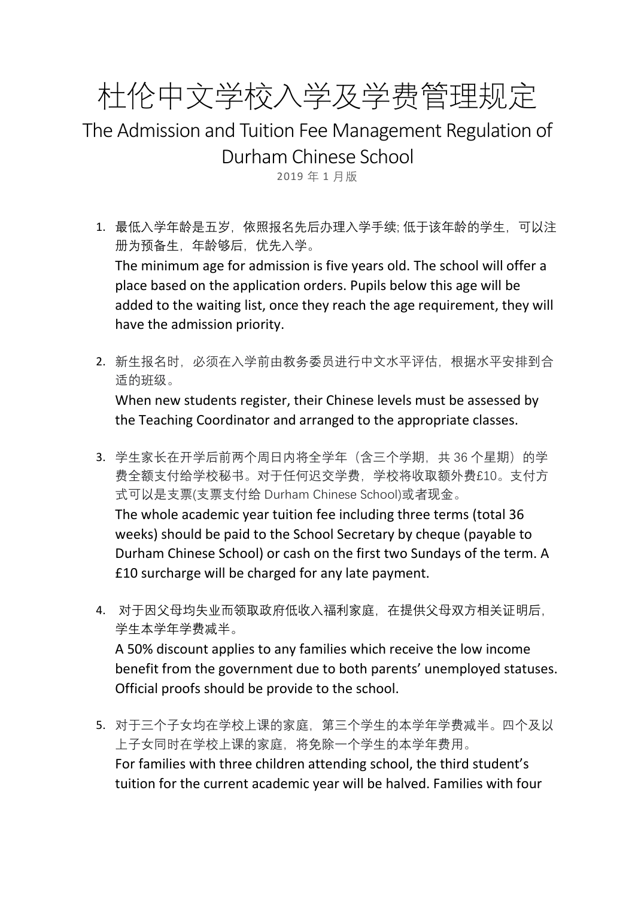杜伦中文学校入学及学费管理规定

The Admission and Tuition Fee Management Regulation of Durham Chinese School

2019 年 1 月版

- 1. 最低入学年龄是五岁,依照报名先后办理入学手续; 低于该年龄的学生,可以注 册为预备生,年龄够后,优先入学。 The minimum age for admission is five years old. The school will offer a place based on the application orders. Pupils below this age will be added to the waiting list, once they reach the age requirement, they will have the admission priority.
- 2. 新生报名时,必须在入学前由教务委员进行中文水平评估,根据水平安排到合 适的班级。

When new students register, their Chinese levels must be assessed by the Teaching Coordinator and arranged to the appropriate classes.

- 3. 学生家长在开学后前两个周日内将全学年(含三个学期, 共 36 个星期)的学 费全额支付给学校秘书。对于任何迟交学费,学校将收取额外费£10。支付方 式可以是支票(支票支付给 Durham Chinese School)或者现金。 The whole academic year tuition fee including three terms (total 36 weeks) should be paid to the School Secretary by cheque (payable to Durham Chinese School) or cash on the first two Sundays of the term. A £10 surcharge will be charged for any late payment.
- 4. 对于因父母均失业而领取政府低收入福利家庭,在提供父母双方相关证明后, 学生本学年学费减半。 A 50% discount applies to any families which receive the low income benefit from the government due to both parents' unemployed statuses. Official proofs should be provide to the school.
- 5. 对于三个子女均在学校上课的家庭,第三个学生的本学年学费减半。四个及以 上子女同时在学校上课的家庭,将免除一个学生的本学年费用。 For families with three children attending school, the third student's tuition for the current academic year will be halved. Families with four